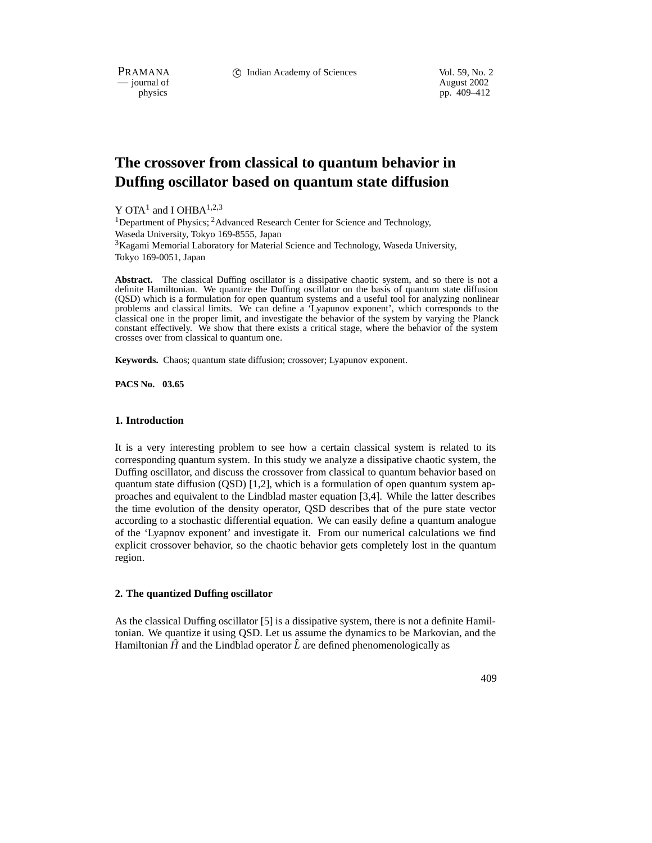PRAMANA 
<sup>c</sup> Indian Academy of Sciences 
<sup>Vol. 59, No. 2<br>
— journal of August 2002</sup>

position of the contract of the contract of the contract of the contract of the contract of the contract of the contract of the contract of the contract of the contract of the contract of the contract of the contract of th pp. 409–412

# **The crossover from classical to quantum behavior in Duffing oscillator based on quantum state diffusion**

Y OTA<sup>1</sup> and I OHBA<sup>1,2,3</sup> <sup>1</sup>Department of Physics; <sup>2</sup>Advanced Research Center for Science and Technology, Waseda University, Tokyo 169-8555, Japan  $3$ Kagami Memorial Laboratory for Material Science and Technology, Waseda University, Tokyo 169-0051, Japan

**Abstract.** The classical Duffing oscillator is a dissipative chaotic system, and so there is not a definite Hamiltonian. We quantize the Duffing oscillator on the basis of quantum state diffusion (QSD) which is a formulation for open quantum systems and a useful tool for analyzing nonlinear problems and classical limits. We can define a 'Lyapunov exponent', which corresponds to the classical one in the proper limit, and investigate the behavior of the system by varying the Planck constant effectively. We show that there exists a critical stage, where the behavior of the system crosses over from classical to quantum one.

**Keywords.** Chaos; quantum state diffusion; crossover; Lyapunov exponent.

**PACS No. 03.65**

### **1. Introduction**

It is a very interesting problem to see how a certain classical system is related to its corresponding quantum system. In this study we analyze a dissipative chaotic system, the Duffing oscillator, and discuss the crossover from classical to quantum behavior based on quantum state diffusion (QSD) [1,2], which is a formulation of open quantum system approaches and equivalent to the Lindblad master equation [3,4]. While the latter describes the time evolution of the density operator, QSD describes that of the pure state vector according to a stochastic differential equation. We can easily define a quantum analogue of the 'Lyapnov exponent' and investigate it. From our numerical calculations we find explicit crossover behavior, so the chaotic behavior gets completely lost in the quantum region.

### **2. The quantized Duffing oscillator**

As the classical Duffing oscillator [5] is a dissipative system, there is not a definite Hamiltonian. We quantize it using QSD. Let us assume the dynamics to be Markovian, and the Hamiltonian  $\hat{H}$  and the Lindblad operator  $\hat{L}$  are defined phenomenologically as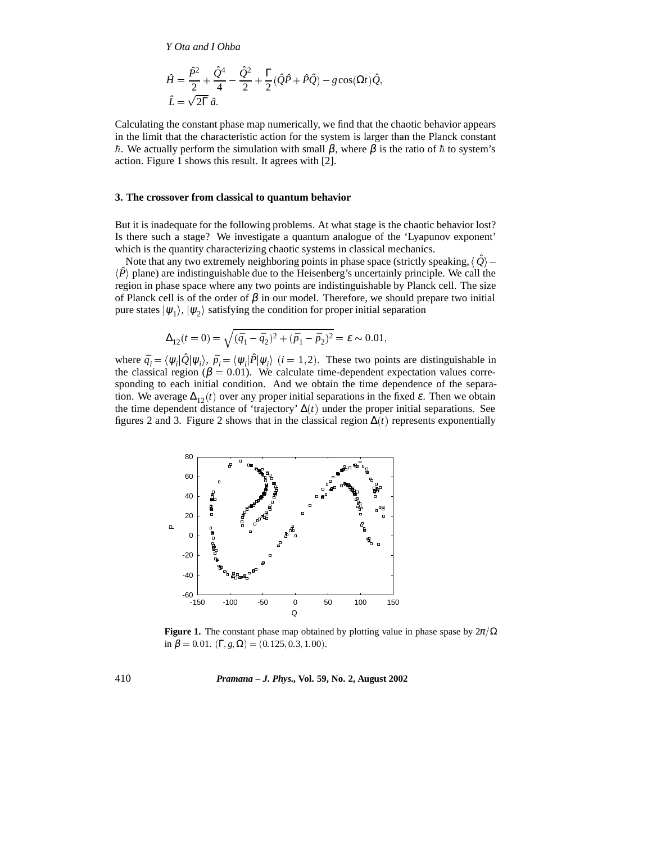*Y Ota and I Ohba*

$$
\hat{H} = \frac{\hat{P}^2}{2} + \frac{\hat{Q}^4}{4} - \frac{\hat{Q}^2}{2} + \frac{\Gamma}{2}(\hat{Q}\hat{P} + \hat{P}\hat{Q}) - g\cos(\Omega t)\hat{Q},
$$
  

$$
\hat{L} = \sqrt{2\Gamma} \hat{a}.
$$

Calculating the constant phase map numerically, we find that the chaotic behavior appears in the limit that the characteristic action for the system is larger than the Planck constant  $~\hbar$ . We actually perform the simulation with small  $\beta$ , where  $\beta$  is the ratio of  $\hbar$  to system's action. Figure 1 shows this result. It agrees with [2].

#### **3. The crossover from classical to quantum behavior**

But it is inadequate for the following problems. At what stage is the chaotic behavior lost? Is there such a stage? We investigate a quantum analogue of the 'Lyapunov exponent' which is the quantity characterizing chaotic systems in classical mechanics.

Note that any two extremely neighboring points in phase space (strictly speaking,  $\langle \hat{Q} \rangle$  - $\langle \hat{P} \rangle$  plane) are indistinguishable due to the Heisenberg's uncertainly principle. We call the region in phase space where any two points are indistinguishable by Planck cell. The size of Planck cell is of the order of  $\beta$  in our model. Therefore, we should prepare two initial pure states  $|\psi_1\rangle$ ,  $|\psi_2\rangle$  satisfying the condition for proper initial separation

$$
\Delta_{12}(t=0) = \sqrt{(\bar{q}_1 - \bar{q}_2)^2 + (\bar{p}_1 - \bar{p}_2)^2} = \varepsilon \sim 0.01,
$$

where  $\bar{q}_i = \langle \psi_i | \hat{Q} | \psi_i \rangle$ ,  $\bar{p}_i = \langle \psi_i | \hat{P} | \psi_i \rangle$  (*i* = 1,2). These two points are distinguishable in the classical region ( $\beta = 0.01$ ). We calculate time-dependent expectation values corresponding to each initial condition. And we obtain the time dependence of the separation. We average  $\Delta_{12}(t)$  over any proper initial separations in the fixed  $\varepsilon$ . Then we obtain the time dependent distance of 'trajectory'  $\Delta(t)$  under the proper initial separations. See figures 2 and 3. Figure 2 shows that in the classical region  $\Delta(t)$  represents exponentially



**Figure 1.** The constant phase map obtained by plotting value in phase spase by  $2\pi/\Omega$ in  $\beta = 0.01$ . (Γ<sub>i</sub>g<sub>i</sub>Q) = (0.125, 0.3, 1.00).

# 410 *Pramana – J. Phys.,* **Vol. 59, No. 2, August 2002**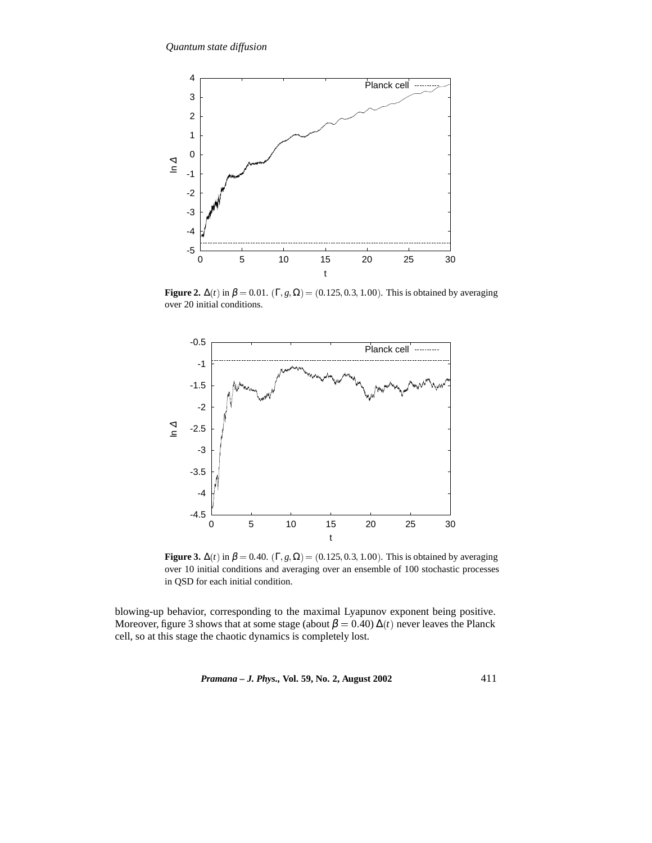

**Figure 2.**  $\Delta(t)$  in  $\beta = 0.01$ . (Γ, *g*,  $\Omega$ ) = (0.125, 0.3, 1.00). This is obtained by averaging over 20 initial conditions.



**Figure 3.**  $\Delta(t)$  in  $\beta = 0.40$ . (Γ, *g*,  $\Omega$ ) = (0.125, 0.3, 1.00). This is obtained by averaging over 10 initial conditions and averaging over an ensemble of 100 stochastic processes in QSD for each initial condition.

blowing-up behavior, corresponding to the maximal Lyapunov exponent being positive. Moreover, figure 3 shows that at some stage (about  $\beta = 0.40$ )  $\Delta(t)$  never leaves the Planck cell, so at this stage the chaotic dynamics is completely lost.

*Pramana – J. Phys.,* **Vol. 59, No. 2, August 2002** 411